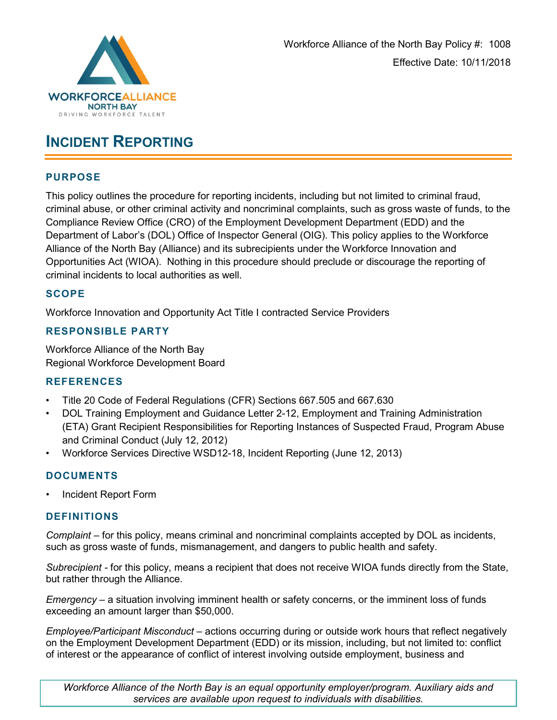

## **INCIDENT REPORTING**

#### **PURPOSE**

This policy outlines the procedure for reporting incidents, including but not limited to criminal fraud, criminal abuse, or other criminal activity and noncriminal complaints, such as gross waste of funds, to the Compliance Review Office (CRO) of the Employment Development Department (EDD) and the Department of Labor's (DOL) Office of Inspector General (OIG). This policy applies to the Workforce Alliance of the North Bay (Alliance) and its subrecipients under the Workforce Innovation and Opportunities Act (WIOA). Nothing in this procedure should preclude or discourage the reporting of criminal incidents to local authorities as well.

#### **SCOPE**

Workforce Innovation and Opportunity Act Title I contracted Service Providers

#### **RESPONSIBLE PARTY**

Workforce Alliance of the North Bay Regional Workforce Development Board

#### **REFERENCES**

- Title 20 Code of Federal Regulations (CFR) Sections 667.505 and 667.630
- DOL Training Employment and Guidance Letter 2-12, Employment and Training Administration (ETA) Grant Recipient Responsibilities for Reporting Instances of Suspected Fraud, Program Abuse and Criminal Conduct (July 12, 2012)
- Workforce Services Directive WSD12-18, Incident Reporting (June 12, 2013)

#### **DOCUMENTS**

• Incident Report Form

#### **DEFINITIONS**

*Complaint –* for this policy, means criminal and noncriminal complaints accepted by DOL as incidents, such as gross waste of funds, mismanagement, and dangers to public health and safety.

*Subrecipient -* for this policy, means a recipient that does not receive WIOA funds directly from the State, but rather through the Alliance.

*Emergency –* a situation involving imminent health or safety concerns, or the imminent loss of funds exceeding an amount larger than \$50,000.

*Employee/Participant Misconduct* – actions occurring during or outside work hours that reflect negatively on the Employment Development Department (EDD) or its mission, including, but not limited to: conflict of interest or the appearance of conflict of interest involving outside employment, business and

*Workforce Alliance of the North Bay is an equal opportunity employer/program. Auxiliary aids and services are available upon request to individuals with disabilities.*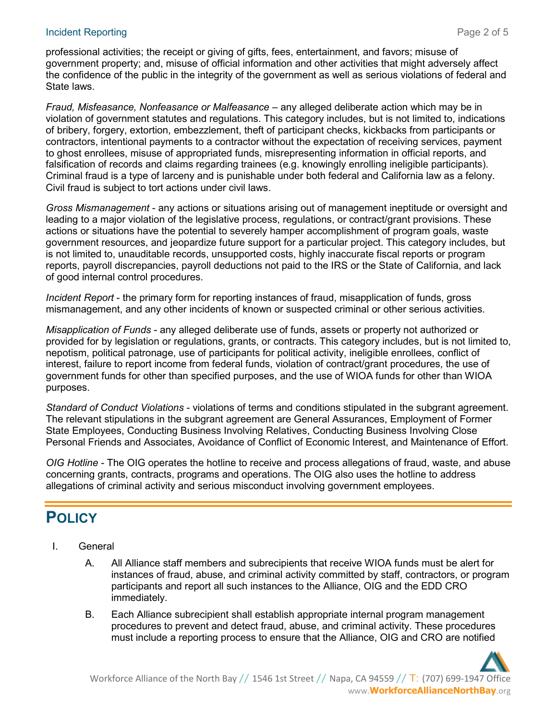#### Incident Reporting **Page 2 of 5**

professional activities; the receipt or giving of gifts, fees, entertainment, and favors; misuse of government property; and, misuse of official information and other activities that might adversely affect the confidence of the public in the integrity of the government as well as serious violations of federal and State laws.

*Fraud, Misfeasance, Nonfeasance or Malfeasance* – any alleged deliberate action which may be in violation of government statutes and regulations. This category includes, but is not limited to, indications of bribery, forgery, extortion, embezzlement, theft of participant checks, kickbacks from participants or contractors, intentional payments to a contractor without the expectation of receiving services, payment to ghost enrollees, misuse of appropriated funds, misrepresenting information in official reports, and falsification of records and claims regarding trainees (e.g. knowingly enrolling ineligible participants). Criminal fraud is a type of larceny and is punishable under both federal and California law as a felony. Civil fraud is subject to tort actions under civil laws.

*Gross Mismanagement* - any actions or situations arising out of management ineptitude or oversight and leading to a major violation of the legislative process, regulations, or contract/grant provisions. These actions or situations have the potential to severely hamper accomplishment of program goals, waste government resources, and jeopardize future support for a particular project. This category includes, but is not limited to, unauditable records, unsupported costs, highly inaccurate fiscal reports or program reports, payroll discrepancies, payroll deductions not paid to the IRS or the State of California, and lack of good internal control procedures.

*Incident Report* - the primary form for reporting instances of fraud, misapplication of funds, gross mismanagement, and any other incidents of known or suspected criminal or other serious activities.

*Misapplication of Funds* - any alleged deliberate use of funds, assets or property not authorized or provided for by legislation or regulations, grants, or contracts. This category includes, but is not limited to, nepotism, political patronage, use of participants for political activity, ineligible enrollees, conflict of interest, failure to report income from federal funds, violation of contract/grant procedures, the use of government funds for other than specified purposes, and the use of WIOA funds for other than WIOA purposes.

*Standard of Conduct Violations* - violations of terms and conditions stipulated in the subgrant agreement. The relevant stipulations in the subgrant agreement are General Assurances, Employment of Former State Employees, Conducting Business Involving Relatives, Conducting Business Involving Close Personal Friends and Associates, Avoidance of Conflict of Economic Interest, and Maintenance of Effort.

*OIG Hotline* - The OIG operates the hotline to receive and process allegations of fraud, waste, and abuse concerning grants, contracts, programs and operations. The OIG also uses the hotline to address allegations of criminal activity and serious misconduct involving government employees.

# **POLICY**

- I. General
	- A. All Alliance staff members and subrecipients that receive WIOA funds must be alert for instances of fraud, abuse, and criminal activity committed by staff, contractors, or program participants and report all such instances to the Alliance, OIG and the EDD CRO immediately.
	- B. Each Alliance subrecipient shall establish appropriate internal program management procedures to prevent and detect fraud, abuse, and criminal activity. These procedures must include a reporting process to ensure that the Alliance, OIG and CRO are notified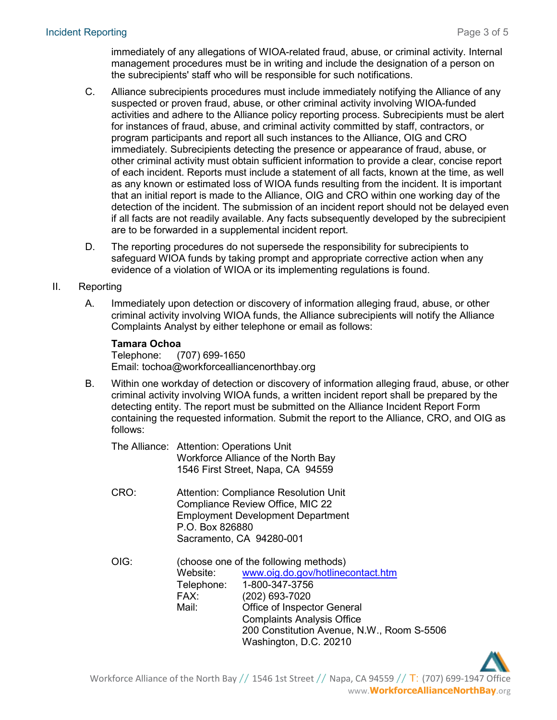immediately of any allegations of WIOA-related fraud, abuse, or criminal activity. Internal management procedures must be in writing and include the designation of a person on the subrecipients' staff who will be responsible for such notifications.

- C. Alliance subrecipients procedures must include immediately notifying the Alliance of any suspected or proven fraud, abuse, or other criminal activity involving WIOA-funded activities and adhere to the Alliance policy reporting process. Subrecipients must be alert for instances of fraud, abuse, and criminal activity committed by staff, contractors, or program participants and report all such instances to the Alliance, OIG and CRO immediately. Subrecipients detecting the presence or appearance of fraud, abuse, or other criminal activity must obtain sufficient information to provide a clear, concise report of each incident. Reports must include a statement of all facts, known at the time, as well as any known or estimated loss of WIOA funds resulting from the incident. It is important that an initial report is made to the Alliance, OIG and CRO within one working day of the detection of the incident. The submission of an incident report should not be delayed even if all facts are not readily available. Any facts subsequently developed by the subrecipient are to be forwarded in a supplemental incident report.
- D. The reporting procedures do not supersede the responsibility for subrecipients to safeguard WIOA funds by taking prompt and appropriate corrective action when any evidence of a violation of WIOA or its implementing regulations is found.

#### II. Reporting

A. Immediately upon detection or discovery of information alleging fraud, abuse, or other criminal activity involving WIOA funds, the Alliance subrecipients will notify the Alliance Complaints Analyst by either telephone or email as follows:

#### **Tamara Ochoa**

Telephone: (707) 699-1650 Email: tochoa@workforcealliancenorthbay.org

- B. Within one workday of detection or discovery of information alleging fraud, abuse, or other criminal activity involving WIOA funds, a written incident report shall be prepared by the detecting entity. The report must be submitted on the Alliance Incident Report Form containing the requested information. Submit the report to the Alliance, CRO, and OIG as follows:
	- The Alliance: Attention: Operations Unit Workforce Alliance of the North Bay 1546 First Street, Napa, CA 94559
	- CRO: Attention: Compliance Resolution Unit Compliance Review Office, MIC 22 Employment Development Department P.O. Box 826880 Sacramento, CA 94280-001
	- OIG: (choose one of the following methods) Website: [www.oig.do.gov/hotlinecontact.htm](http://www.oig.do.gov/hotlinecontact.htm) Telephone: 1-800-347-3756<br>FAX: (202) 693-7020 (202) 693-7020 Mail: Office of Inspector General Complaints Analysis Office 200 Constitution Avenue, N.W., Room S-5506 Washington, D.C. 20210

Workforce Alliance of the North Bay  $//$  1546 1st Street  $//$  Napa, CA 94559  $//$  T: (707) 699-1947 Office www.**WorkforceAllianceNorthBay**.org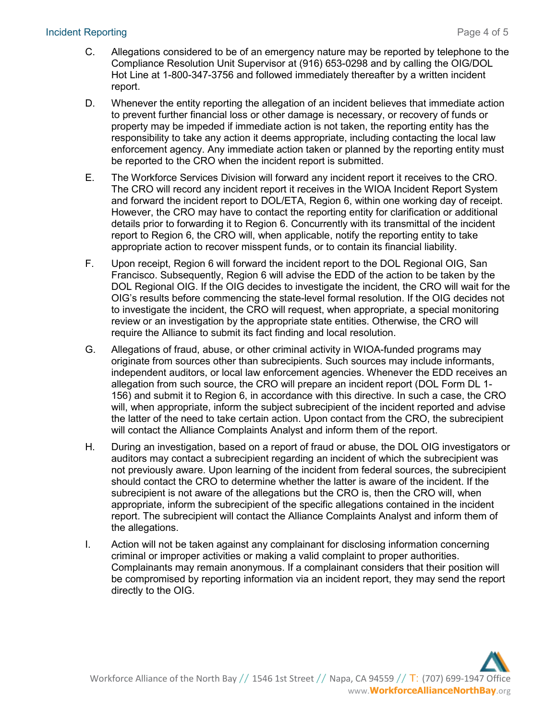#### **Incident Reporting Page 4 of 5**

- C. Allegations considered to be of an emergency nature may be reported by telephone to the Compliance Resolution Unit Supervisor at (916) 653-0298 and by calling the OIG/DOL Hot Line at 1-800-347-3756 and followed immediately thereafter by a written incident report.
- D. Whenever the entity reporting the allegation of an incident believes that immediate action to prevent further financial loss or other damage is necessary, or recovery of funds or property may be impeded if immediate action is not taken, the reporting entity has the responsibility to take any action it deems appropriate, including contacting the local law enforcement agency. Any immediate action taken or planned by the reporting entity must be reported to the CRO when the incident report is submitted.
- E. The Workforce Services Division will forward any incident report it receives to the CRO. The CRO will record any incident report it receives in the WIOA Incident Report System and forward the incident report to DOL/ETA, Region 6, within one working day of receipt. However, the CRO may have to contact the reporting entity for clarification or additional details prior to forwarding it to Region 6. Concurrently with its transmittal of the incident report to Region 6, the CRO will, when applicable, notify the reporting entity to take appropriate action to recover misspent funds, or to contain its financial liability.
- F. Upon receipt, Region 6 will forward the incident report to the DOL Regional OIG, San Francisco. Subsequently, Region 6 will advise the EDD of the action to be taken by the DOL Regional OIG. If the OIG decides to investigate the incident, the CRO will wait for the OIG's results before commencing the state-level formal resolution. If the OIG decides not to investigate the incident, the CRO will request, when appropriate, a special monitoring review or an investigation by the appropriate state entities. Otherwise, the CRO will require the Alliance to submit its fact finding and local resolution.
- G. Allegations of fraud, abuse, or other criminal activity in WIOA-funded programs may originate from sources other than subrecipients. Such sources may include informants, independent auditors, or local law enforcement agencies. Whenever the EDD receives an allegation from such source, the CRO will prepare an incident report (DOL Form DL 1- 156) and submit it to Region 6, in accordance with this directive. In such a case, the CRO will, when appropriate, inform the subject subrecipient of the incident reported and advise the latter of the need to take certain action. Upon contact from the CRO, the subrecipient will contact the Alliance Complaints Analyst and inform them of the report.
- H. During an investigation, based on a report of fraud or abuse, the DOL OIG investigators or auditors may contact a subrecipient regarding an incident of which the subrecipient was not previously aware. Upon learning of the incident from federal sources, the subrecipient should contact the CRO to determine whether the latter is aware of the incident. If the subrecipient is not aware of the allegations but the CRO is, then the CRO will, when appropriate, inform the subrecipient of the specific allegations contained in the incident report. The subrecipient will contact the Alliance Complaints Analyst and inform them of the allegations.
- I. Action will not be taken against any complainant for disclosing information concerning criminal or improper activities or making a valid complaint to proper authorities. Complainants may remain anonymous. If a complainant considers that their position will be compromised by reporting information via an incident report, they may send the report directly to the OIG.